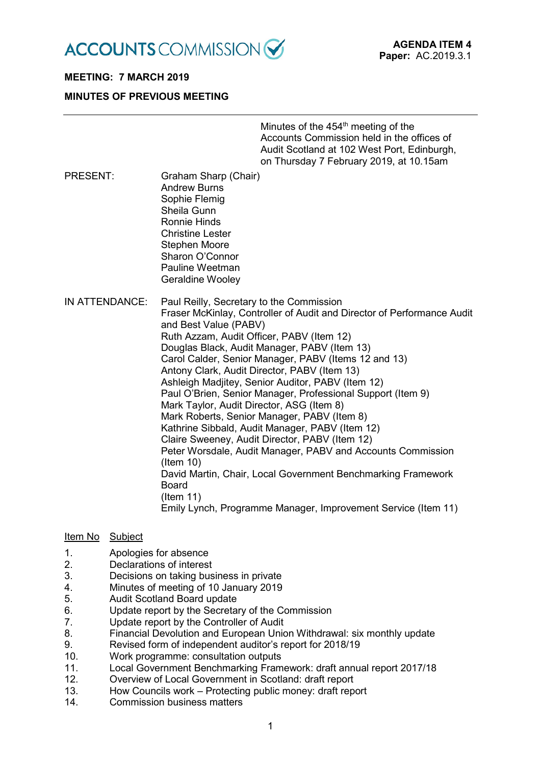

# **MEETING: 7 MARCH 2019**

#### **MINUTES OF PREVIOUS MEETING**

Minutes of the  $454<sup>th</sup>$  meeting of the Accounts Commission held in the offices of Audit Scotland at 102 West Port, Edinburgh, on Thursday 7 February 2019, at 10.15am

PRESENT: Graham Sharp (Chair) Andrew Burns Sophie Flemig Sheila Gunn Ronnie Hinds Christine Lester Stephen Moore Sharon O'Connor Pauline Weetman Geraldine Wooley

IN ATTENDANCE: Paul Reilly, Secretary to the Commission Fraser McKinlay, Controller of Audit and Director of Performance Audit and Best Value (PABV) Ruth Azzam, Audit Officer, PABV (Item 12) Douglas Black, Audit Manager, PABV (Item 13) Carol Calder, Senior Manager, PABV (Items 12 and 13) Antony Clark, Audit Director, PABV (Item 13) Ashleigh Madjitey, Senior Auditor, PABV (Item 12) Paul O'Brien, Senior Manager, Professional Support (Item 9) Mark Taylor, Audit Director, ASG (Item 8) Mark Roberts, Senior Manager, PABV (Item 8) Kathrine Sibbald, Audit Manager, PABV (Item 12) Claire Sweeney, Audit Director, PABV (Item 12) Peter Worsdale, Audit Manager, PABV and Accounts Commission (Item 10) David Martin, Chair, Local Government Benchmarking Framework Board (Item 11) Emily Lynch, Programme Manager, Improvement Service (Item 11)

#### Item No Subject

- 1. Apologies for absence
- 2. Declarations of interest
- 3. Decisions on taking business in private
- 4. Minutes of meeting of 10 January 2019
- 5. Audit Scotland Board update<br>6. Clodate report by the Secreta
- Update report by the Secretary of the Commission
- 7. Update report by the Controller of Audit
- 8. Financial Devolution and European Union Withdrawal: six monthly update
- 9. Revised form of independent auditor's report for 2018/19
- 10. Work programme: consultation outputs
- 11. Local Government Benchmarking Framework: draft annual report 2017/18
- 12. Overview of Local Government in Scotland: draft report
- 13. How Councils work Protecting public money: draft report<br>14 Commission business matters
- Commission business matters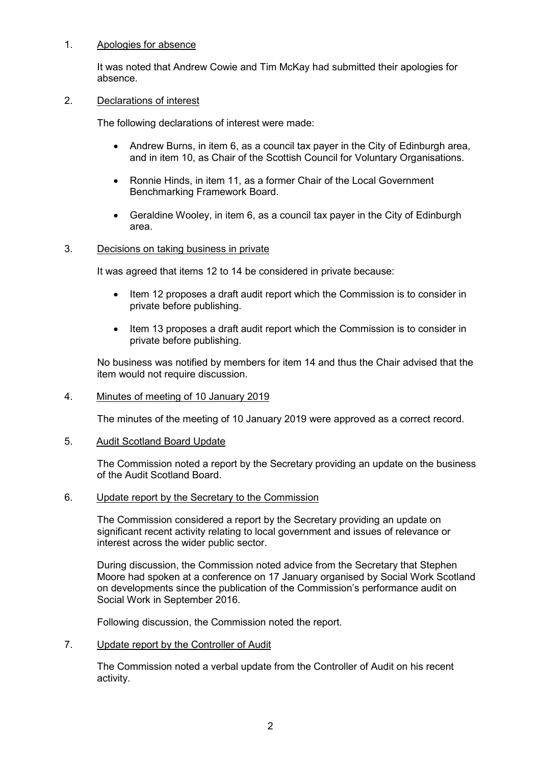#### 1. Apologies for absence

It was noted that Andrew Cowie and Tim McKay had submitted their apologies for absence.

#### 2. Declarations of interest

The following declarations of interest were made:

- Andrew Burns, in item 6, as a council tax payer in the City of Edinburgh area, and in item 10, as Chair of the Scottish Council for Voluntary Organisations.
- Ronnie Hinds, in item 11, as a former Chair of the Local Government Benchmarking Framework Board.
- Geraldine Wooley, in item 6, as a council tax payer in the City of Edinburgh area.

#### 3. Decisions on taking business in private

It was agreed that items 12 to 14 be considered in private because:

- Item 12 proposes a draft audit report which the Commission is to consider in private before publishing.
- Item 13 proposes a draft audit report which the Commission is to consider in private before publishing.

No business was notified by members for item 14 and thus the Chair advised that the item would not require discussion.

#### 4. Minutes of meeting of 10 January 2019

The minutes of the meeting of 10 January 2019 were approved as a correct record.

#### 5. Audit Scotland Board Update

The Commission noted a report by the Secretary providing an update on the business of the Audit Scotland Board.

#### 6. Update report by the Secretary to the Commission

The Commission considered a report by the Secretary providing an update on significant recent activity relating to local government and issues of relevance or interest across the wider public sector.

During discussion, the Commission noted advice from the Secretary that Stephen Moore had spoken at a conference on 17 January organised by Social Work Scotland on developments since the publication of the Commission's performance audit on Social Work in September 2016.

Following discussion, the Commission noted the report.

7. Update report by the Controller of Audit

The Commission noted a verbal update from the Controller of Audit on his recent activity.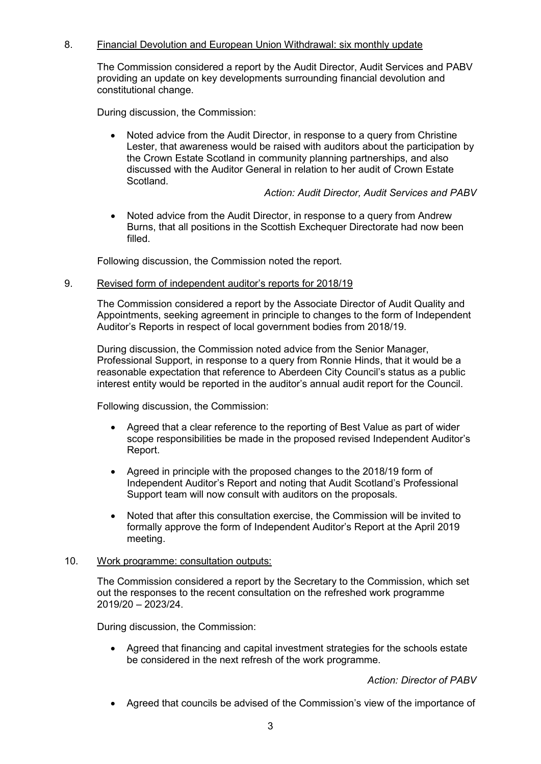# 8. Financial Devolution and European Union Withdrawal: six monthly update

The Commission considered a report by the Audit Director, Audit Services and PABV providing an update on key developments surrounding financial devolution and constitutional change.

During discussion, the Commission:

• Noted advice from the Audit Director, in response to a query from Christine Lester, that awareness would be raised with auditors about the participation by the Crown Estate Scotland in community planning partnerships, and also discussed with the Auditor General in relation to her audit of Crown Estate Scotland.

*Action: Audit Director, Audit Services and PABV*

• Noted advice from the Audit Director, in response to a query from Andrew Burns, that all positions in the Scottish Exchequer Directorate had now been filled.

Following discussion, the Commission noted the report.

#### 9. Revised form of independent auditor's reports for 2018/19

The Commission considered a report by the Associate Director of Audit Quality and Appointments, seeking agreement in principle to changes to the form of Independent Auditor's Reports in respect of local government bodies from 2018/19.

During discussion, the Commission noted advice from the Senior Manager, Professional Support, in response to a query from Ronnie Hinds, that it would be a reasonable expectation that reference to Aberdeen City Council's status as a public interest entity would be reported in the auditor's annual audit report for the Council.

Following discussion, the Commission:

- Agreed that a clear reference to the reporting of Best Value as part of wider scope responsibilities be made in the proposed revised Independent Auditor's Report.
- Agreed in principle with the proposed changes to the 2018/19 form of Independent Auditor's Report and noting that Audit Scotland's Professional Support team will now consult with auditors on the proposals.
- Noted that after this consultation exercise, the Commission will be invited to formally approve the form of Independent Auditor's Report at the April 2019 meeting.

#### 10. Work programme: consultation outputs:

The Commission considered a report by the Secretary to the Commission, which set out the responses to the recent consultation on the refreshed work programme 2019/20 – 2023/24.

During discussion, the Commission:

• Agreed that financing and capital investment strategies for the schools estate be considered in the next refresh of the work programme.

*Action: Director of PABV*

• Agreed that councils be advised of the Commission's view of the importance of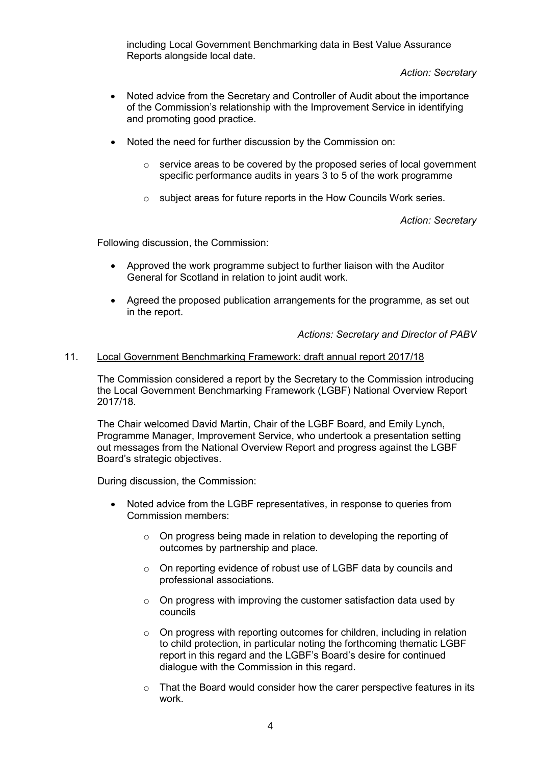including Local Government Benchmarking data in Best Value Assurance Reports alongside local date.

*Action: Secretary*

- Noted advice from the Secretary and Controller of Audit about the importance of the Commission's relationship with the Improvement Service in identifying and promoting good practice.
- Noted the need for further discussion by the Commission on:
	- $\circ$  service areas to be covered by the proposed series of local government specific performance audits in years 3 to 5 of the work programme
	- o subject areas for future reports in the How Councils Work series.

*Action: Secretary*

Following discussion, the Commission:

- Approved the work programme subject to further liaison with the Auditor General for Scotland in relation to joint audit work.
- Agreed the proposed publication arrangements for the programme, as set out in the report.

*Actions: Secretary and Director of PABV*

## 11. Local Government Benchmarking Framework: draft annual report 2017/18

The Commission considered a report by the Secretary to the Commission introducing the Local Government Benchmarking Framework (LGBF) National Overview Report 2017/18.

The Chair welcomed David Martin, Chair of the LGBF Board, and Emily Lynch, Programme Manager, Improvement Service, who undertook a presentation setting out messages from the National Overview Report and progress against the LGBF Board's strategic objectives.

During discussion, the Commission:

- Noted advice from the LGBF representatives, in response to queries from Commission members:
	- $\circ$  On progress being made in relation to developing the reporting of outcomes by partnership and place.
	- o On reporting evidence of robust use of LGBF data by councils and professional associations.
	- $\circ$  On progress with improving the customer satisfaction data used by councils
	- o On progress with reporting outcomes for children, including in relation to child protection, in particular noting the forthcoming thematic LGBF report in this regard and the LGBF's Board's desire for continued dialogue with the Commission in this regard.
	- $\circ$  That the Board would consider how the carer perspective features in its work.